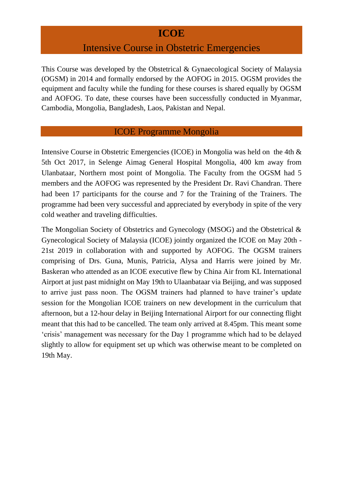## **ICOE**

## Intensive Course in Obstetric Emergencies

This Course was developed by the Obstetrical & Gynaecological Society of Malaysia (OGSM) in 2014 and formally endorsed by the AOFOG in 2015. OGSM provides the equipment and faculty while the funding for these courses is shared equally by OGSM and AOFOG. To date, these courses have been successfully conducted in Myanmar, Cambodia, Mongolia, Bangladesh, Laos, Pakistan and Nepal.

#### ICOE Programme Mongolia

Intensive Course in Obstetric Emergencies (ICOE) in Mongolia was held on the 4th & 5th Oct 2017, in Selenge Aimag General Hospital Mongolia, 400 km away from Ulanbataar, Northern most point of Mongolia. The Faculty from the OGSM had 5 members and the AOFOG was represented by the President Dr. Ravi Chandran. There had been 17 participants for the course and 7 for the Training of the Trainers. The programme had been very successful and appreciated by everybody in spite of the very cold weather and traveling difficulties.

The Mongolian Society of Obstetrics and Gynecology (MSOG) and the Obstetrical & Gynecological Society of Malaysia (ICOE) jointly organized the ICOE on May 20th - 21st 2019 in collaboration with and supported by AOFOG. The OGSM trainers comprising of Drs. Guna, Munis, Patricia, Alysa and Harris were joined by Mr. Baskeran who attended as an ICOE executive flew by China Air from KL International Airport at just past midnight on May 19th to Ulaanbataar via Beijing, and was supposed to arrive just pass noon. The OGSM trainers had planned to have trainer's update session for the Mongolian ICOE trainers on new development in the curriculum that afternoon, but a 12-hour delay in Beijing International Airport for our connecting flight meant that this had to be cancelled. The team only arrived at 8.45pm. This meant some 'crisis' management was necessary for the Day 1 programme which had to be delayed slightly to allow for equipment set up which was otherwise meant to be completed on 19th May.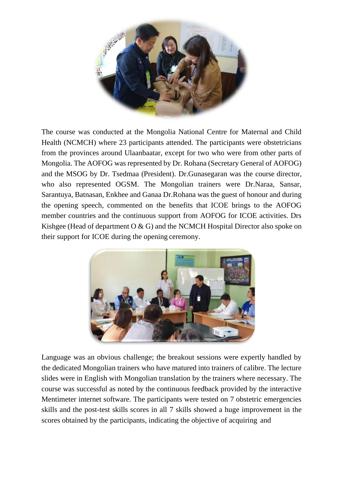

The course was conducted at the Mongolia National Centre for Maternal and Child Health (NCMCH) where 23 participants attended. The participants were obstetricians from the provinces around Ulaanbaatar, except for two who were from other parts of Mongolia. The AOFOG was represented by Dr. Rohana (Secretary General of AOFOG) and the MSOG by Dr. Tsedmaa (President). Dr.Gunasegaran was the course director, who also represented OGSM. The Mongolian trainers were Dr.Naraa, Sansar, Sarantuya, Batnasan, Enkhee and Ganaa Dr.Rohana was the guest of honour and during the opening speech, commented on the benefits that ICOE brings to the AOFOG member countries and the continuous support from AOFOG for ICOE activities. Drs Kishgee (Head of department  $O & G$ ) and the NCMCH Hospital Director also spoke on their support for ICOE during the opening ceremony.



Language was an obvious challenge; the breakout sessions were expertly handled by the dedicated Mongolian trainers who have matured into trainers of calibre. The lecture slides were in English with Mongolian translation by the trainers where necessary. The course was successful as noted by the continuous feedback provided by the interactive Mentimeter internet software. The participants were tested on 7 obstetric emergencies skills and the post-test skills scores in all 7 skills showed a huge improvement in the scores obtained by the participants, indicating the objective of acquiring and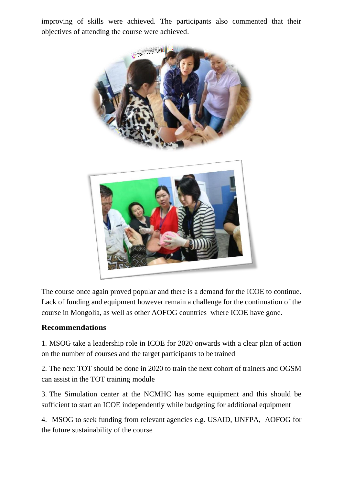improving of skills were achieved. The participants also commented that their objectives of attending the course were achieved.



The course once again proved popular and there is a demand for the ICOE to continue. Lack of funding and equipment however remain a challenge for the continuation of the course in Mongolia, as well as other AOFOG countries where ICOE have gone.

### **Recommendations**

1. MSOG take a leadership role in ICOE for 2020 onwards with a clear plan of action on the number of courses and the target participants to be trained

2. The next TOT should be done in 2020 to train the next cohort of trainers and OGSM can assist in the TOT training module

3. The Simulation center at the NCMHC has some equipment and this should be sufficient to start an ICOE independently while budgeting for additional equipment

4. MSOG to seek funding from relevant agencies e.g. USAID, UNFPA, AOFOG for the future sustainability of the course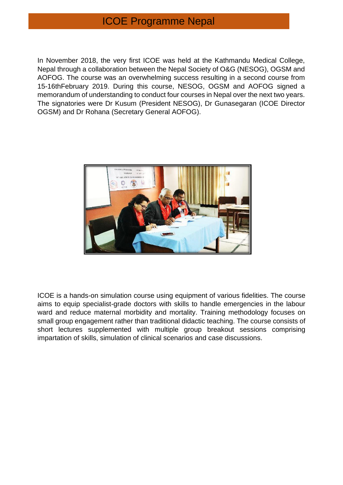# ICOE Programme Nepal

In November 2018, the very first ICOE was held at the Kathmandu Medical College, Nepal through a collaboration between the Nepal Society of O&G (NESOG), OGSM and AOFOG. The course was an overwhelming success resulting in a second course from 15-16thFebruary 2019. During this course, NESOG, OGSM and AOFOG signed a memorandum of understanding to conduct four courses in Nepal over the next two years. The signatories were Dr Kusum (President NESOG), Dr Gunasegaran (ICOE Director OGSM) and Dr Rohana (Secretary General AOFOG).



ICOE is a hands-on simulation course using equipment of various fidelities. The course aims to equip specialist-grade doctors with skills to handle emergencies in the labour ward and reduce maternal morbidity and mortality. Training methodology focuses on small group engagement rather than traditional didactic teaching. The course consists of short lectures supplemented with multiple group breakout sessions comprising impartation of skills, simulation of clinical scenarios and case discussions.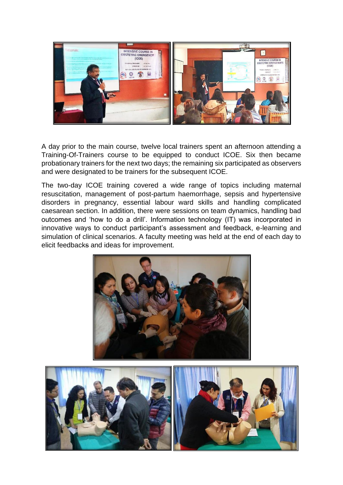

A day prior to the main course, twelve local trainers spent an afternoon attending a Training-Of-Trainers course to be equipped to conduct ICOE. Six then became probationary trainers for the next two days; the remaining six participated as observers and were designated to be trainers for the subsequent ICOE.

The two-day ICOE training covered a wide range of topics including maternal resuscitation, management of post-partum haemorrhage, sepsis and hypertensive disorders in pregnancy, essential labour ward skills and handling complicated caesarean section. In addition, there were sessions on team dynamics, handling bad outcomes and 'how to do a drill'. Information technology (IT) was incorporated in innovative ways to conduct participant's assessment and feedback, e-learning and simulation of clinical scenarios. A faculty meeting was held at the end of each day to elicit feedbacks and ideas for improvement.



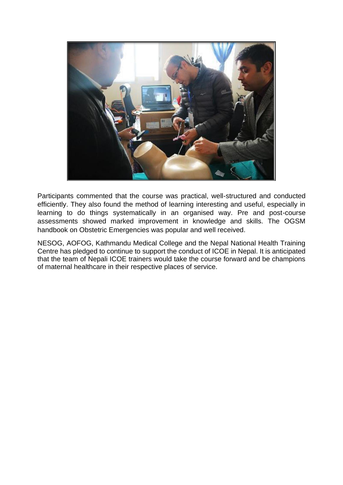

Participants commented that the course was practical, well-structured and conducted efficiently. They also found the method of learning interesting and useful, especially in learning to do things systematically in an organised way. Pre and post-course assessments showed marked improvement in knowledge and skills. The OGSM handbook on Obstetric Emergencies was popular and well received.

NESOG, AOFOG, Kathmandu Medical College and the Nepal National Health Training Centre has pledged to continue to support the conduct of ICOE in Nepal. It is anticipated that the team of Nepali ICOE trainers would take the course forward and be champions of maternal healthcare in their respective places of service.